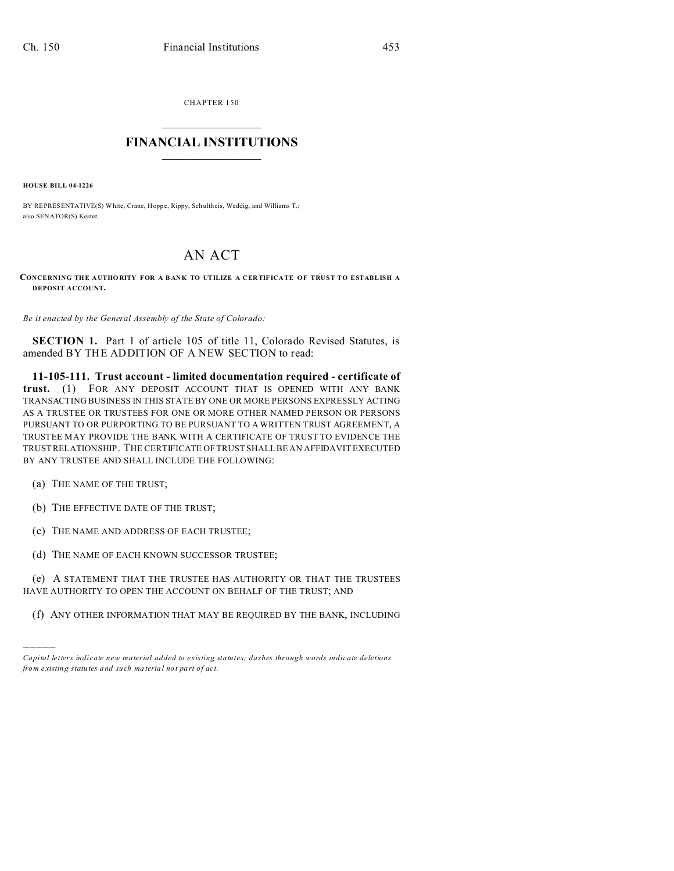CHAPTER 150  $\overline{\phantom{a}}$  , where  $\overline{\phantom{a}}$ 

## **FINANCIAL INSTITUTIONS**  $\frac{1}{2}$  ,  $\frac{1}{2}$  ,  $\frac{1}{2}$  ,  $\frac{1}{2}$  ,  $\frac{1}{2}$  ,  $\frac{1}{2}$  ,  $\frac{1}{2}$

**HOUSE BILL 04-1226**

BY REPRESENTATIVE(S) White, Crane, Hoppe, Rippy, Sch ultheis, Weddig, and Williams T.; also SENATOR(S) Kester.

## AN ACT

## **CONCERNING THE A UTHO RITY FOR A B ANK TO UTILIZE A CER TIFICA TE OF TRUST TO ESTABLISH A DEPOSIT ACCOUNT.**

*Be it enacted by the General Assembly of the State of Colorado:*

**SECTION 1.** Part 1 of article 105 of title 11, Colorado Revised Statutes, is amended BY THE ADDITION OF A NEW SECTION to read:

**11-105-111. Trust account - limited documentation required - certificate of trust.** (1) FOR ANY DEPOSIT ACCOUNT THAT IS OPENED WITH ANY BANK TRANSACTING BUSINESS IN THIS STATE BY ONE OR MORE PERSONS EXPRESSLY ACTING AS A TRUSTEE OR TRUSTEES FOR ONE OR MORE OTHER NAMED PERSON OR PERSONS PURSUANT TO OR PURPORTING TO BE PURSUANT TO A WRITTEN TRUST AGREEMENT, A TRUSTEE MAY PROVIDE THE BANK WITH A CERTIFICATE OF TRUST TO EVIDENCE THE TRUST RELATIONSHIP. THE CERTIFICATE OF TRUST SHALL BE AN AFFIDAVIT EXECUTED BY ANY TRUSTEE AND SHALL INCLUDE THE FOLLOWING:

(a) THE NAME OF THE TRUST;

)))))

- (b) THE EFFECTIVE DATE OF THE TRUST;
- (c) THE NAME AND ADDRESS OF EACH TRUSTEE;
- (d) THE NAME OF EACH KNOWN SUCCESSOR TRUSTEE;

(e) A STATEMENT THAT THE TRUSTEE HAS AUTHORITY OR THAT THE TRUSTEES HAVE AUTHORITY TO OPEN THE ACCOUNT ON BEHALF OF THE TRUST; AND

(f) ANY OTHER INFORMATION THAT MAY BE REQUIRED BY THE BANK, INCLUDING

*Capital letters indicate new material added to existing statutes; dashes through words indicate deletions from e xistin g statu tes a nd such ma teria l no t pa rt of ac t.*